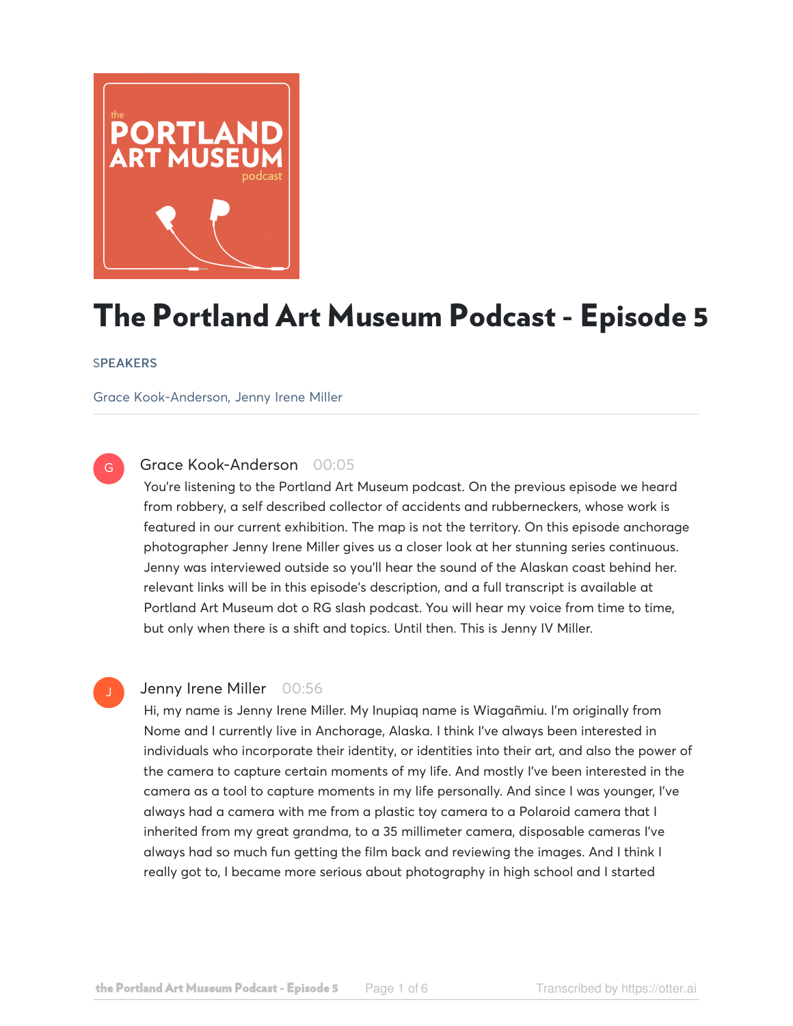

# The Portland Art Museum Podcast - Episode 5

### **SPEAKERS**

G

Grace Kook-Anderson, Jenny Irene Miller

# Grace Kook-Anderson 00:05

You're listening to the Portland Art Museum podcast. On the previous episode we heard from robbery, a self described collector of accidents and rubberneckers, whose work is featured in our current exhibition. The map is not the territory. On this episode anchorage photographer Jenny Irene Miller gives us a closer look at her stunning series continuous. Jenny was interviewed outside so you'll hear the sound of the Alaskan coast behind her. relevant links will be in this episode's description, and a full transcript is available at Portland Art Museum dot o RG slash podcast. You will hear my voice from time to time, but only when there is a shift and topics. Until then. This is Jenny IV Miller.

### Jenny Irene Miller 00:56

Hi, my name is Jenny Irene Miller. My Inupiaq name is Wiagañmiu. I'm originally from Nome and I currently live in Anchorage, Alaska. I think I've always been interested in individuals who incorporate their identity, or identities into their art, and also the power of the camera to capture certain moments of my life. And mostly I've been interested in the camera as a tool to capture moments in my life personally. And since I was younger, I've always had a camera with me from a plastic toy camera to a Polaroid camera that I inherited from my great grandma, to a 35 millimeter camera, disposable cameras I've always had so much fun getting the film back and reviewing the images. And I think I really got to, I became more serious about photography in high school and I started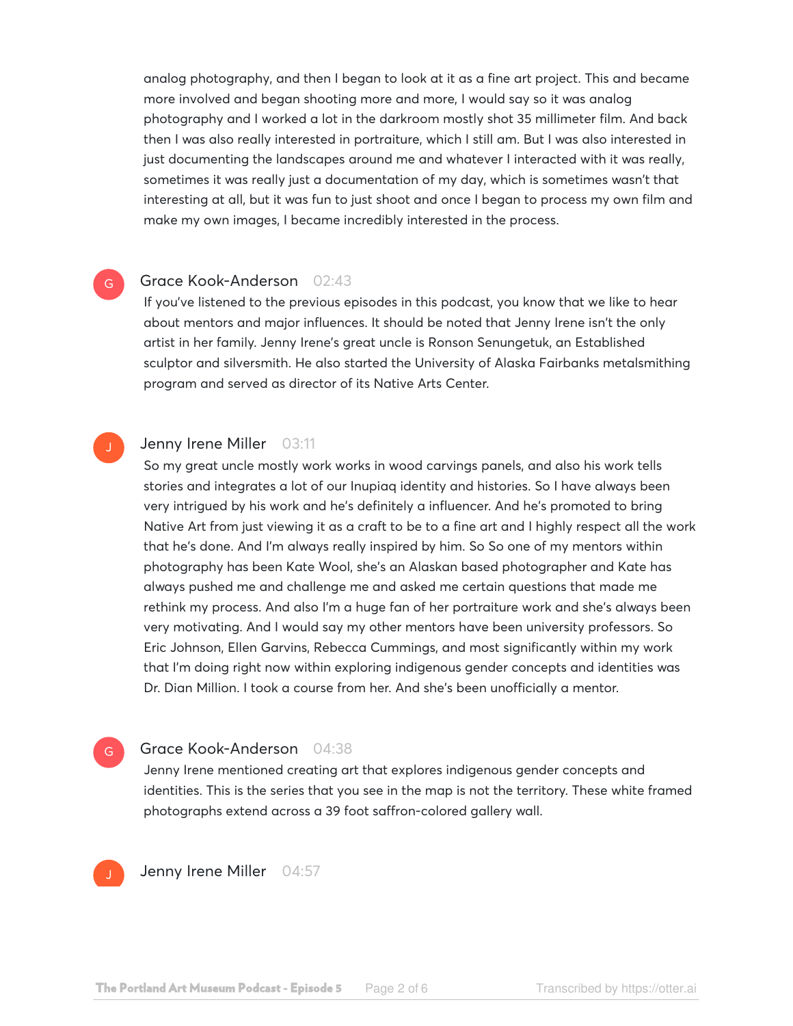analog photography, and then I began to look at it as a fine art project. This and became more involved and began shooting more and more, I would say so it was analog photography and I worked a lot in the darkroom mostly shot 35 millimeter film. And back then I was also really interested in portraiture, which I still am. But I was also interested in just documenting the landscapes around me and whatever I interacted with it was really, sometimes it was really just a documentation of my day, which is sometimes wasn't that interesting at all, but it was fun to just shoot and once I began to process my own film and make my own images, I became incredibly interested in the process.

## Grace Kook-Anderson 02:43

If you've listened to the previous episodes in this podcast, you know that we like to hear about mentors and major influences. It should be noted that Jenny Irene isn't the only artist in her family. Jenny Irene's great uncle is Ronson Senungetuk, an Established sculptor and silversmith. He also started the University of Alaska Fairbanks metalsmithing program and served as director of its Native Arts Center.

G

### Jenny Irene Miller 03:11

So my great uncle mostly work works in wood carvings panels, and also his work tells stories and integrates a lot of our Inupiaq identity and histories. So I have always been very intrigued by his work and he's definitely a influencer. And he's promoted to bring Native Art from just viewing it as a craft to be to a fine art and I highly respect all the work that he's done. And I'm always really inspired by him. So So one of my mentors within photography has been Kate Wool, she's an Alaskan based photographer and Kate has always pushed me and challenge me and asked me certain questions that made me rethink my process. And also I'm a huge fan of her portraiture work and she's always been very motivating. And I would say my other mentors have been university professors. So Eric Johnson, Ellen Garvins, Rebecca Cummings, and most significantly within my work that I'm doing right now within exploring indigenous gender concepts and identities was Dr. Dian Million. I took a course from her. And she's been unofficially a mentor.

### Grace Kook-Anderson 04:38

Jenny Irene mentioned creating art that explores indigenous gender concepts and identities. This is the series that you see in the map is not the territory. These white framed photographs extend across a 39 foot saffron-colored gallery wall.



G

Jenny Irene Miller 04:57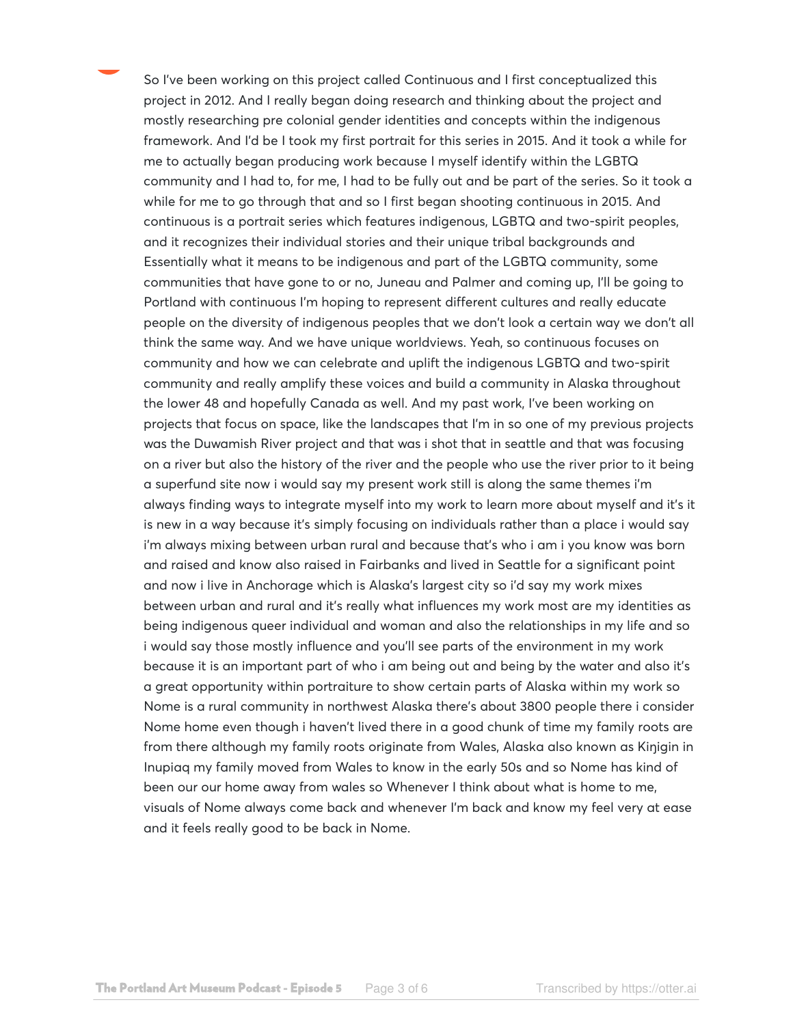So I've been working on this project called Continuous and I first conceptualized this project in 2012. And I really began doing research and thinking about the project and mostly researching pre colonial gender identities and concepts within the indigenous framework. And I'd be I took my first portrait for this series in 2015. And it took a while for me to actually began producing work because I myself identify within the LGBTQ community and I had to, for me, I had to be fully out and be part of the series. So it took a while for me to go through that and so I first began shooting continuous in 2015. And continuous is a portrait series which features indigenous, LGBTQ and two-spirit peoples, and it recognizes their individual stories and their unique tribal backgrounds and Essentially what it means to be indigenous and part of the LGBTQ community, some communities that have gone to or no, Juneau and Palmer and coming up, I'll be going to Portland with continuous I'm hoping to represent different cultures and really educate people on the diversity of indigenous peoples that we don't look a certain way we don't all think the same way. And we have unique worldviews. Yeah, so continuous focuses on community and how we can celebrate and uplift the indigenous LGBTQ and two-spirit community and really amplify these voices and build a community in Alaska throughout the lower 48 and hopefully Canada as well. And my past work, I've been working on projects that focus on space, like the landscapes that I'm in so one of my previous projects was the Duwamish River project and that was i shot that in seattle and that was focusing on a river but also the history of the river and the people who use the river prior to it being a superfund site now i would say my present work still is along the same themes i'm always finding ways to integrate myself into my work to learn more about myself and it's it is new in a way because it's simply focusing on individuals rather than a place i would say i'm always mixing between urban rural and because that's who i am i you know was born and raised and know also raised in Fairbanks and lived in Seattle for a significant point and now i live in Anchorage which is Alaska's largest city so i'd say my work mixes between urban and rural and it's really what influences my work most are my identities as being indigenous queer individual and woman and also the relationships in my life and so i would say those mostly influence and you'll see parts of the environment in my work because it is an important part of who i am being out and being by the water and also it's a great opportunity within portraiture to show certain parts of Alaska within my work so Nome is a rural community in northwest Alaska there's about 3800 people there i consider Nome home even though i haven't lived there in a good chunk of time my family roots are from there although my family roots originate from Wales, Alaska also known as Kiŋigin in Inupiaq my family moved from Wales to know in the early 50s and so Nome has kind of been our our home away from wales so Whenever I think about what is home to me, visuals of Nome always come back and whenever I'm back and know my feel very at ease and it feels really good to be back in Nome.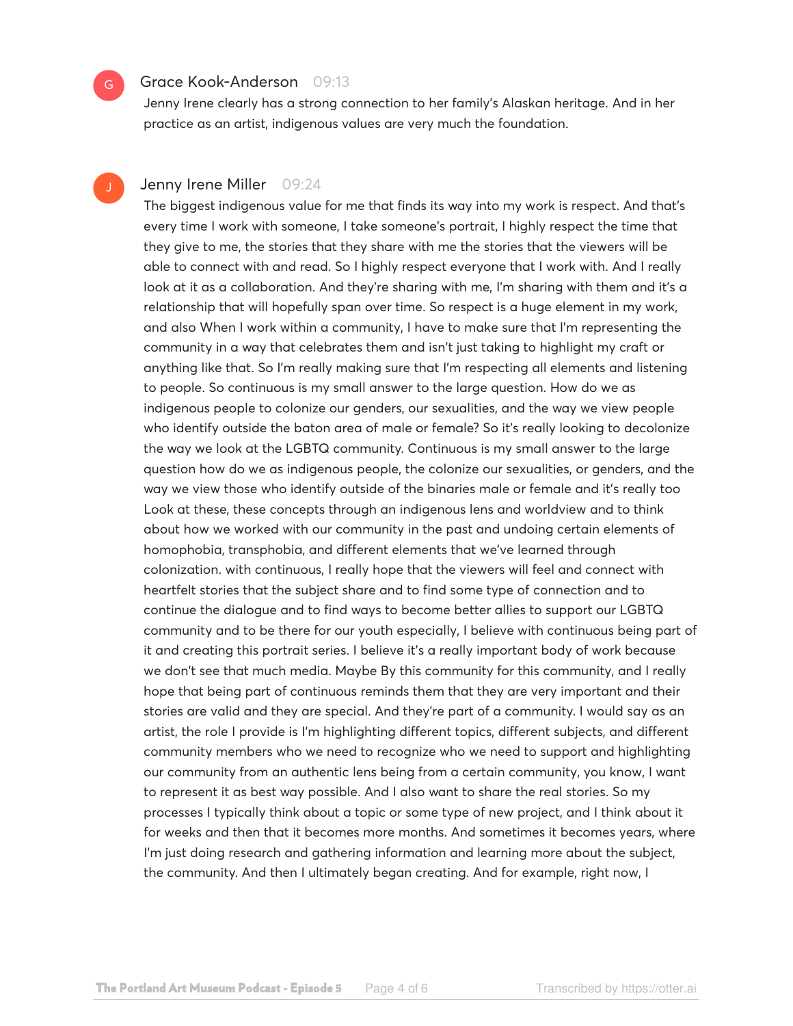## Grace Kook-Anderson 09:13

Jenny Irene clearly has a strong connection to her family's Alaskan heritage. And in her practice as an artist, indigenous values are very much the foundation.

# Jenny Irene Miller 09:24

The biggest indigenous value for me that finds its way into my work is respect. And that's every time I work with someone, I take someone's portrait, I highly respect the time that they give to me, the stories that they share with me the stories that the viewers will be able to connect with and read. So I highly respect everyone that I work with. And I really look at it as a collaboration. And they're sharing with me, I'm sharing with them and it's a relationship that will hopefully span over time. So respect is a huge element in my work, and also When I work within a community, I have to make sure that I'm representing the community in a way that celebrates them and isn't just taking to highlight my craft or anything like that. So I'm really making sure that I'm respecting all elements and listening to people. So continuous is my small answer to the large question. How do we as indigenous people to colonize our genders, our sexualities, and the way we view people who identify outside the baton area of male or female? So it's really looking to decolonize the way we look at the LGBTQ community. Continuous is my small answer to the large question how do we as indigenous people, the colonize our sexualities, or genders, and the way we view those who identify outside of the binaries male or female and it's really too Look at these, these concepts through an indigenous lens and worldview and to think about how we worked with our community in the past and undoing certain elements of homophobia, transphobia, and different elements that we've learned through colonization. with continuous, I really hope that the viewers will feel and connect with heartfelt stories that the subject share and to find some type of connection and to continue the dialogue and to find ways to become better allies to support our LGBTQ community and to be there for our youth especially, I believe with continuous being part of it and creating this portrait series. I believe it's a really important body of work because we don't see that much media. Maybe By this community for this community, and I really hope that being part of continuous reminds them that they are very important and their stories are valid and they are special. And they're part of a community. I would say as an artist, the role I provide is I'm highlighting different topics, different subjects, and different community members who we need to recognize who we need to support and highlighting our community from an authentic lens being from a certain community, you know, I want to represent it as best way possible. And I also want to share the real stories. So my processes I typically think about a topic or some type of new project, and I think about it for weeks and then that it becomes more months. And sometimes it becomes years, where I'm just doing research and gathering information and learning more about the subject, the community. And then I ultimately began creating. And for example, right now, I

 $G$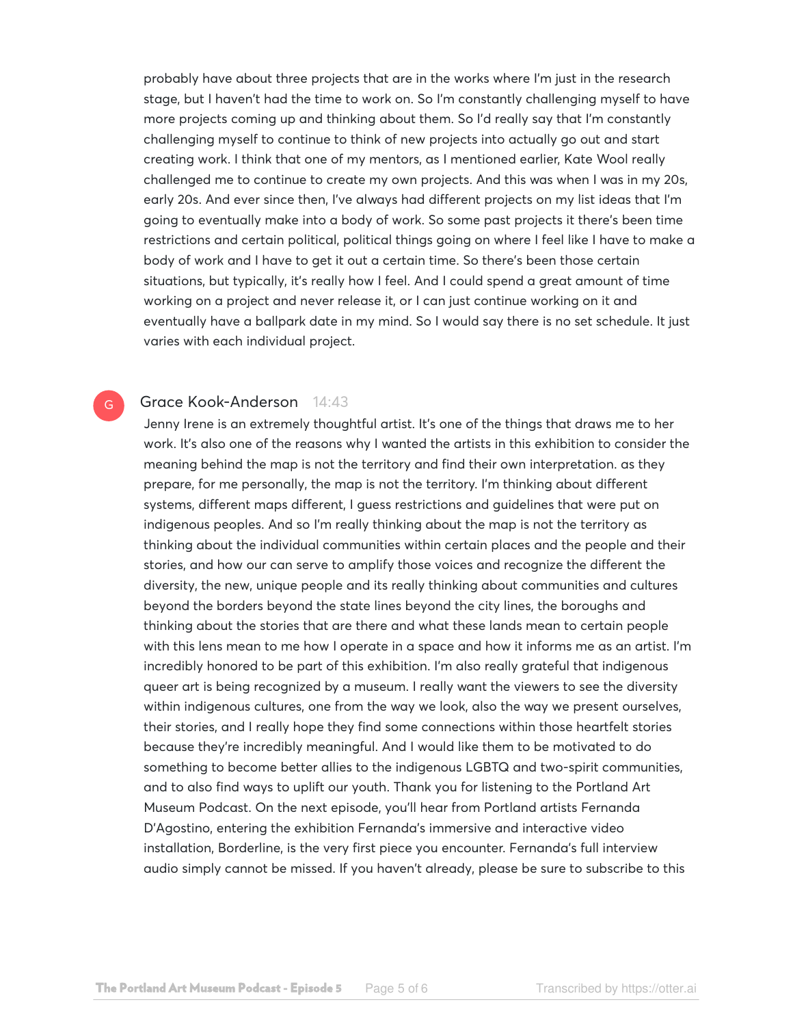probably have about three projects that are in the works where I'm just in the research stage, but I haven't had the time to work on. So I'm constantly challenging myself to have more projects coming up and thinking about them. So I'd really say that I'm constantly challenging myself to continue to think of new projects into actually go out and start creating work. I think that one of my mentors, as I mentioned earlier, Kate Wool really challenged me to continue to create my own projects. And this was when I was in my 20s, early 20s. And ever since then, I've always had different projects on my list ideas that I'm going to eventually make into a body of work. So some past projects it there's been time restrictions and certain political, political things going on where I feel like I have to make a body of work and I have to get it out a certain time. So there's been those certain situations, but typically, it's really how I feel. And I could spend a great amount of time working on a project and never release it, or I can just continue working on it and eventually have a ballpark date in my mind. So I would say there is no set schedule. It just varies with each individual project.

# Grace Kook-Anderson 14:43

G

Jenny Irene is an extremely thoughtful artist. It's one of the things that draws me to her work. It's also one of the reasons why I wanted the artists in this exhibition to consider the meaning behind the map is not the territory and find their own interpretation. as they prepare, for me personally, the map is not the territory. I'm thinking about different systems, different maps different, I guess restrictions and guidelines that were put on indigenous peoples. And so I'm really thinking about the map is not the territory as thinking about the individual communities within certain places and the people and their stories, and how our can serve to amplify those voices and recognize the different the diversity, the new, unique people and its really thinking about communities and cultures beyond the borders beyond the state lines beyond the city lines, the boroughs and thinking about the stories that are there and what these lands mean to certain people with this lens mean to me how I operate in a space and how it informs me as an artist. I'm incredibly honored to be part of this exhibition. I'm also really grateful that indigenous queer art is being recognized by a museum. I really want the viewers to see the diversity within indigenous cultures, one from the way we look, also the way we present ourselves, their stories, and I really hope they find some connections within those heartfelt stories because they're incredibly meaningful. And I would like them to be motivated to do something to become better allies to the indigenous LGBTQ and two-spirit communities, and to also find ways to uplift our youth. Thank you for listening to the Portland Art Museum Podcast. On the next episode, you'll hear from Portland artists Fernanda D'Agostino, entering the exhibition Fernanda's immersive and interactive video installation, Borderline, is the very first piece you encounter. Fernanda's full interview audio simply cannot be missed. If you haven't already, please be sure to subscribe to this